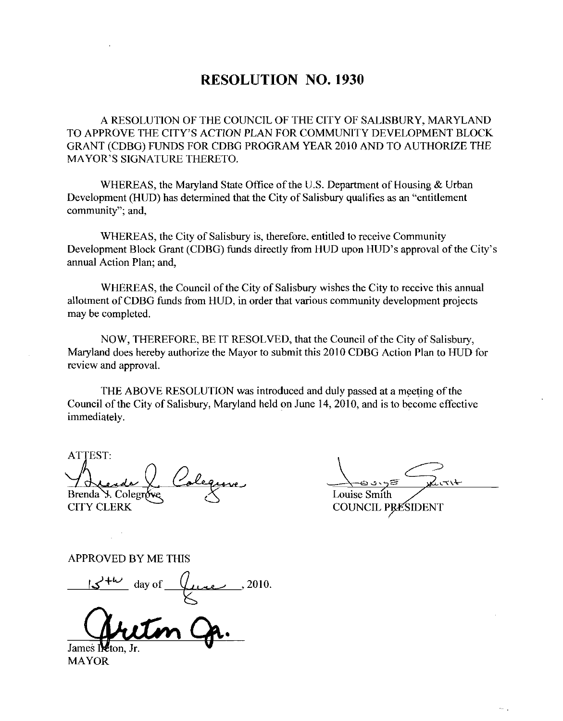## RESOLUTION NO. 1930

A RESOLUTION OF THE COUNCIL OF THE CITY OF SALISBURY, MARYLAND TO APPROVE THE CITY'S ACTION PLAN FOR COMMUNITY DEVELOPMENT BLOCK GRANT (CDBG) FUNDS FOR CDBG PROGRAM YEAR 2010 AND TO AUTHORIZE THE A RESOLUTION OF THE CO<br>TO APPROVE THE CITY'S ACTION<br>GRANT (CDBG) FUNDS FOR CDBO<br>MAYOR'S SIGNATURE THERETO. MAYOR'S SIGNATURE THERETO.<br>WHEREAS, the Maryland State Office of the U.S. Department of Housing & Urban

Development (HUD) has determined that the City of Salisbury qualifies as an "entitlement" community"; and,

WHEREAS, the City of Salisbury is, therefore, entitled to receive Community Development Block Grant (CDBG) funds directly from HUD upon HUD's approval of the City's annual Action Plan; and,

WHEREAS, the Council of the City of Salisbury wishes the City to receive this annual allotment of CDBG funds from HUD, in order that various community development projects may be completed

NOW, THEREFORE, BE IT RESOLVED, that the Council of the City of Salisbury, Maryland does hereby authorize the Mayor to submit this 2010 CDBG Action Plan to HUD for review and approval

THE ABOVE RESOLUTION was introduced and duly passed at a meeting of the Council of the City of Salisbury, Maryland held on June 14, 2010, and is to become effective immediately.

ATTEST Brenda Y. Colegro CITY CLERK

 $\frac{c}{\sqrt{\frac{c}{c}}}}$ 

 $\sim$  .

Louise Smith COUNCIL PRESIDENT

APPROVED BY ME THIS

 $+\omega$  day of  $\theta$ une, 2010

James INEton,

MAYOR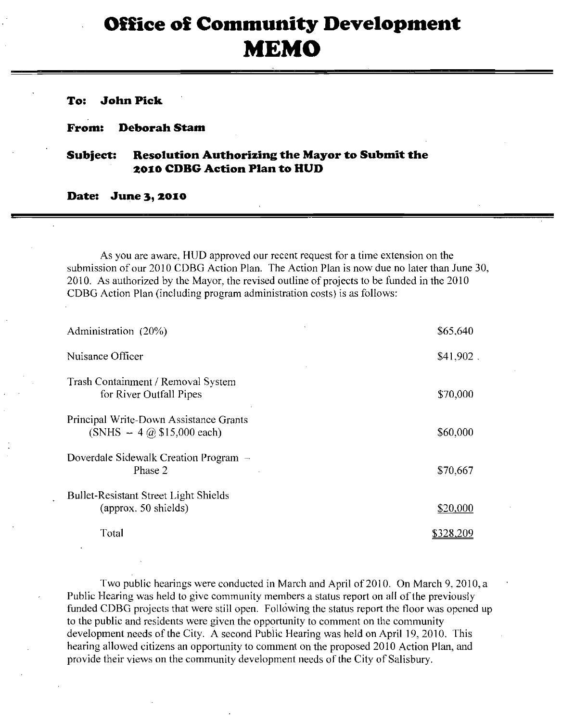## Office of Community Development MEMO

To: John Pick

From: Deborah Stam

## Subject: Resolution Authorizing the Mayor to Submit the 2010 CDBG Action Plan to HUD

Date: June 3, 2010

As you are aware HUD approved our recent request for atime extension on the submission of our 2010 CDBG Action Plan. The Action Plan is now due no later than June 30, 2010. As authorized by the Mayor, the revised outline of projects to be funded in the 2010 CDBG Action Plan (including program administration costs) is as follows:

| Administration (20%)                                                                     | \$65,640    |
|------------------------------------------------------------------------------------------|-------------|
| Nuisance Officer                                                                         | $$41,902$ . |
| Trash Containment / Removal System<br>for River Outfall Pipes                            | \$70,000    |
| Principal Write-Down Assistance Grants<br>$(SNHS - 4 \text{ (a) } $15,000 \text{ each})$ | \$60,000    |
| Doverdale Sidewalk Creation Program –<br>Phase 2                                         | \$70,667    |
| <b>Bullet-Resistant Street Light Shields</b><br>(approx. 50 shields)                     | \$20,000    |
| Total                                                                                    | \$328.209   |

Two public hearings were conducted in March and April of 2010. On March 9, 2010, a Public Hearing was held to give community members a status report on all of the previously funded CDBG projects that were still open. Following the status report the floor was opened up to the public and residents were given the opportunity to comment on the community development needs of the City. A second Public Hearing was held on April 19, 2010. This hearing allowed citizens an opportunity to comment on the proposed 2010 Action Plan, and provide their views on the community development needs of the City of Salisbury.